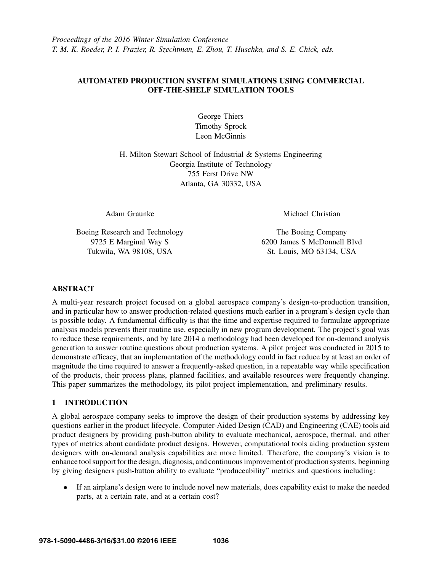# AUTOMATED PRODUCTION SYSTEM SIMULATIONS USING COMMERCIAL OFF-THE-SHELF SIMULATION TOOLS

George Thiers Timothy Sprock Leon McGinnis

H. Milton Stewart School of Industrial & Systems Engineering Georgia Institute of Technology 755 Ferst Drive NW Atlanta, GA 30332, USA

Adam Graunke

Boeing Research and Technology 9725 E Marginal Way S Tukwila, WA 98108, USA

Michael Christian

The Boeing Company 6200 James S McDonnell Blvd St. Louis, MO 63134, USA

### ABSTRACT

A multi-year research project focused on a global aerospace company's design-to-production transition, and in particular how to answer production-related questions much earlier in a program's design cycle than is possible today. A fundamental difficulty is that the time and expertise required to formulate appropriate analysis models prevents their routine use, especially in new program development. The project's goal was to reduce these requirements, and by late 2014 a methodology had been developed for on-demand analysis generation to answer routine questions about production systems. A pilot project was conducted in 2015 to demonstrate efficacy, that an implementation of the methodology could in fact reduce by at least an order of magnitude the time required to answer a frequently-asked question, in a repeatable way while specification of the products, their process plans, planned facilities, and available resources were frequently changing. This paper summarizes the methodology, its pilot project implementation, and preliminary results.

# 1 INTRODUCTION

A global aerospace company seeks to improve the design of their production systems by addressing key questions earlier in the product lifecycle. Computer-Aided Design (CAD) and Engineering (CAE) tools aid product designers by providing push-button ability to evaluate mechanical, aerospace, thermal, and other types of metrics about candidate product designs. However, computational tools aiding production system designers with on-demand analysis capabilities are more limited. Therefore, the company's vision is to enhance tool support for the design, diagnosis, and continuous improvement of production systems, beginning by giving designers push-button ability to evaluate "produceability" metrics and questions including:

If an airplane's design were to include novel new materials, does capability exist to make the needed parts, at a certain rate, and at a certain cost?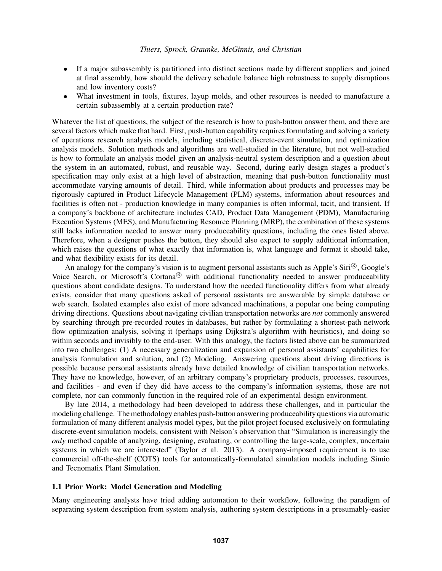- If a major subassembly is partitioned into distinct sections made by different suppliers and joined at final assembly, how should the delivery schedule balance high robustness to supply disruptions and low inventory costs?
- What investment in tools, fixtures, layup molds, and other resources is needed to manufacture a certain subassembly at a certain production rate?

Whatever the list of questions, the subject of the research is how to push-button answer them, and there are several factors which make that hard. First, push-button capability requires formulating and solving a variety of operations research analysis models, including statistical, discrete-event simulation, and optimization analysis models. Solution methods and algorithms are well-studied in the literature, but not well-studied is how to formulate an analysis model given an analysis-neutral system description and a question about the system in an automated, robust, and reusable way. Second, during early design stages a product's specification may only exist at a high level of abstraction, meaning that push-button functionality must accommodate varying amounts of detail. Third, while information about products and processes may be rigorously captured in Product Lifecycle Management (PLM) systems, information about resources and facilities is often not - production knowledge in many companies is often informal, tacit, and transient. If a company's backbone of architecture includes CAD, Product Data Management (PDM), Manufacturing Execution Systems (MES), and Manufacturing Resource Planning (MRP), the combination of these systems still lacks information needed to answer many produceability questions, including the ones listed above. Therefore, when a designer pushes the button, they should also expect to supply additional information, which raises the questions of what exactly that information is, what language and format it should take, and what flexibility exists for its detail.

An analogy for the company's vision is to augment personal assistants such as Apple's Siri®, Google's Voice Search, or Microsoft's Cortana<sup>®</sup> with additional functionality needed to answer produceability questions about candidate designs. To understand how the needed functionality differs from what already exists, consider that many questions asked of personal assistants are answerable by simple database or web search. Isolated examples also exist of more advanced machinations, a popular one being computing driving directions. Questions about navigating civilian transportation networks are *not* commonly answered by searching through pre-recorded routes in databases, but rather by formulating a shortest-path network flow optimization analysis, solving it (perhaps using Dijkstra's algorithm with heuristics), and doing so within seconds and invisibly to the end-user. With this analogy, the factors listed above can be summarized into two challenges: (1) A necessary generalization and expansion of personal assistants' capabilities for analysis formulation and solution, and (2) Modeling. Answering questions about driving directions is possible because personal assistants already have detailed knowledge of civilian transportation networks. They have no knowledge, however, of an arbitrary company's proprietary products, processes, resources, and facilities - and even if they did have access to the company's information systems, those are not complete, nor can commonly function in the required role of an experimental design environment.

By late 2014, a methodology had been developed to address these challenges, and in particular the modeling challenge. The methodology enables push-button answering produceability questions via automatic formulation of many different analysis model types, but the pilot project focused exclusively on formulating discrete-event simulation models, consistent with Nelson's observation that "Simulation is increasingly the *only* method capable of analyzing, designing, evaluating, or controlling the large-scale, complex, uncertain systems in which we are interested" (Taylor et al. 2013). A company-imposed requirement is to use commercial off-the-shelf (COTS) tools for automatically-formulated simulation models including Simio and Tecnomatix Plant Simulation.

### 1.1 Prior Work: Model Generation and Modeling

Many engineering analysts have tried adding automation to their workflow, following the paradigm of separating system description from system analysis, authoring system descriptions in a presumably-easier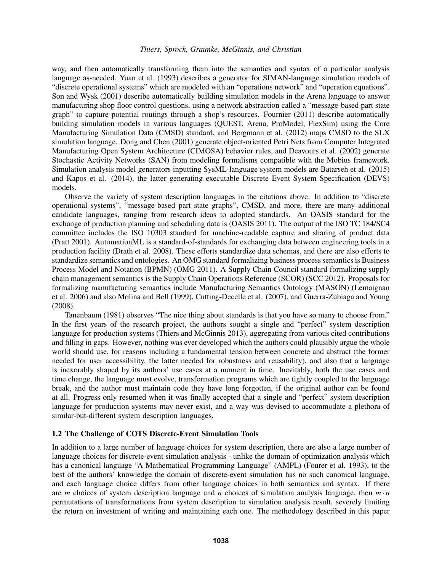way, and then automatically transforming them into the semantics and syntax of a particular analysis language as-needed. Yuan et al. (1993) describes a generator for SIMAN-language simulation models of "discrete operational systems" which are modeled with an "operations network" and "operation equations". Son and Wysk (2001) describe automatically building simulation models in the Arena language to answer manufacturing shop floor control questions, using a network abstraction called a "message-based part state graph" to capture potential routings through a shop's resources. Fournier (2011) describe automatically building simulation models in various languages (QUEST, Arena, ProModel, FlexSim) using the Core Manufacturing Simulation Data (CMSD) standard, and Bergmann et al. (2012) maps CMSD to the SLX simulation language. Dong and Chen (2001) generate object-oriented Petri Nets from Computer Integrated Manufacturing Open System Architecture (CIMOSA) behavior rules, and Deavours et al. (2002) generate Stochastic Activity Networks (SAN) from modeling formalisms compatible with the Mobius framework. Simulation analysis model generators inputting SysML-language system models are Batarseh et al. (2015) and Kapos et al. (2014), the latter generating executable Discrete Event System Specification (DEVS) models.

Observe the variety of system description languages in the citations above. In addition to "discrete operational systems", "message-based part state graphs", CMSD, and more, there are many additional candidate languages, ranging from research ideas to adopted standards. An OASIS standard for the exchange of production planning and scheduling data is (OASIS 2011). The output of the ISO TC 184/SC4 committee includes the ISO 10303 standard for machine-readable capture and sharing of product data (Pratt 2001). AutomationML is a standard-of-standards for exchanging data between engineering tools in a production facility (Drath et al. 2008). These efforts standardize data schemas, and there are also efforts to standardize semantics and ontologies. An OMG standard formalizing business process semantics is Business Process Model and Notation (BPMN) (OMG 2011). A Supply Chain Council standard formalizing supply chain management semantics is the Supply Chain Operations Reference (SCOR) (SCC 2012). Proposals for formalizing manufacturing semantics include Manufacturing Semantics Ontology (MASON) (Lemaignan et al. 2006) and also Molina and Bell (1999), Cutting-Decelle et al. (2007), and Guerra-Zubiaga and Young (2008).

Tanenbaum (1981) observes "The nice thing about standards is that you have so many to choose from." In the first years of the research project, the authors sought a single and "perfect" system description language for production systems (Thiers and McGinnis 2013), aggregating from various cited contributions and filling in gaps. However, nothing was ever developed which the authors could plausibly argue the whole world should use, for reasons including a fundamental tension between concrete and abstract (the former needed for user accessibility, the latter needed for robustness and reusability), and also that a language is inexorably shaped by its authors' use cases at a moment in time. Inevitably, both the use cases and time change, the language must evolve, transformation programs which are tightly coupled to the language break, and the author must maintain code they have long forgotten, if the original author can be found at all. Progress only resumed when it was finally accepted that a single and "perfect" system description language for production systems may never exist, and a way was devised to accommodate a plethora of similar-but-different system description languages.

### 1.2 The Challenge of COTS Discrete-Event Simulation Tools

In addition to a large number of language choices for system description, there are also a large number of language choices for discrete-event simulation analysis - unlike the domain of optimization analysis which has a canonical language "A Mathematical Programming Language" (AMPL) (Fourer et al. 1993), to the best of the authors' knowledge the domain of discrete-event simulation has no such canonical language, and each language choice differs from other language choices in both semantics and syntax. If there are *m* choices of system description language and *n* choices of simulation analysis language, then *m* · *n* permutations of transformations from system description to simulation analysis result, severely limiting the return on investment of writing and maintaining each one. The methodology described in this paper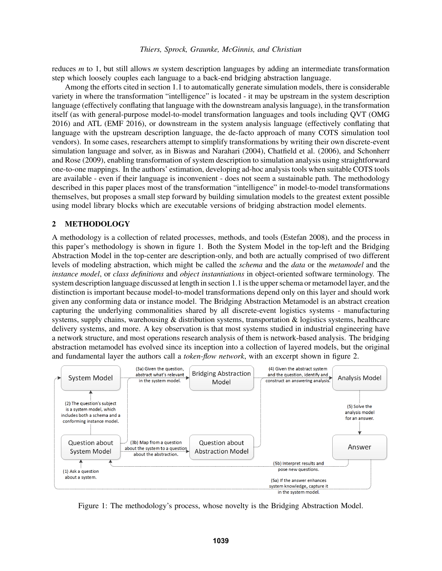reduces *m* to 1, but still allows *m* system description languages by adding an intermediate transformation step which loosely couples each language to a back-end bridging abstraction language.

Among the efforts cited in section 1.1 to automatically generate simulation models, there is considerable variety in where the transformation "intelligence" is located - it may be upstream in the system description language (effectively conflating that language with the downstream analysis language), in the transformation itself (as with general-purpose model-to-model transformation languages and tools including QVT (OMG 2016) and ATL (EMF 2016), or downstream in the system analysis language (effectively conflating that language with the upstream description language, the de-facto approach of many COTS simulation tool vendors). In some cases, researchers attempt to simplify transformations by writing their own discrete-event simulation language and solver, as in Biswas and Narahari (2004), Chatfield et al. (2006), and Schonherr and Rose (2009), enabling transformation of system description to simulation analysis using straightforward one-to-one mappings. In the authors' estimation, developing ad-hoc analysis tools when suitable COTS tools are available - even if their language is inconvenient - does not seem a sustainable path. The methodology described in this paper places most of the transformation "intelligence" in model-to-model transformations themselves, but proposes a small step forward by building simulation models to the greatest extent possible using model library blocks which are executable versions of bridging abstraction model elements.

### 2 METHODOLOGY

A methodology is a collection of related processes, methods, and tools (Estefan 2008), and the process in this paper's methodology is shown in figure 1. Both the System Model in the top-left and the Bridging Abstraction Model in the top-center are description-only, and both are actually comprised of two different levels of modeling abstraction, which might be called the *schema* and the *data* or the *metamodel* and the *instance model*, or *class definitions* and *object instantiations* in object-oriented software terminology. The system description language discussed at length in section 1.1 is the upper schema or metamodel layer, and the distinction is important because model-to-model transformations depend only on this layer and should work given any conforming data or instance model. The Bridging Abstraction Metamodel is an abstract creation capturing the underlying commonalities shared by all discrete-event logistics systems - manufacturing systems, supply chains, warehousing  $\&$  distribution systems, transportation  $\&$  logistics systems, healthcare delivery systems, and more. A key observation is that most systems studied in industrial engineering have a network structure, and most operations research analysis of them is network-based analysis. The bridging abstraction metamodel has evolved since its inception into a collection of layered models, but the original and fundamental layer the authors call a *token-flow network*, with an excerpt shown in figure 2.



Figure 1: The methodology's process, whose novelty is the Bridging Abstraction Model.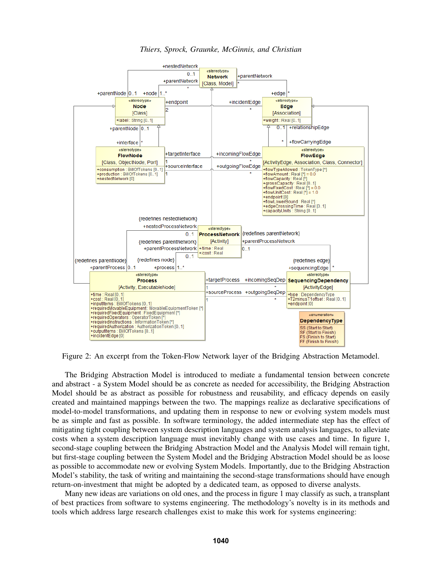



Figure 2: An excerpt from the Token-Flow Network layer of the Bridging Abstraction Metamodel.

The Bridging Abstraction Model is introduced to mediate a fundamental tension between concrete and abstract - a System Model should be as concrete as needed for accessibility, the Bridging Abstraction Model should be as abstract as possible for robustness and reusability, and efficacy depends on easily created and maintained mappings between the two. The mappings realize as declarative specifications of model-to-model transformations, and updating them in response to new or evolving system models must be as simple and fast as possible. In software terminology, the added intermediate step has the effect of mitigating tight coupling between system description languages and system analysis languages, to alleviate costs when a system description language must inevitably change with use cases and time. In figure 1, second-stage coupling between the Bridging Abstraction Model and the Analysis Model will remain tight, but first-stage coupling between the System Model and the Bridging Abstraction Model should be as loose as possible to accommodate new or evolving System Models. Importantly, due to the Bridging Abstraction Model's stability, the task of writing and maintaining the second-stage transformations should have enough return-on-investment that might be adopted by a dedicated team, as opposed to diverse analysts.

Many new ideas are variations on old ones, and the process in figure 1 may classify as such, a transplant of best practices from software to systems engineering. The methodology's novelty is in its methods and tools which address large research challenges exist to make this work for systems engineering: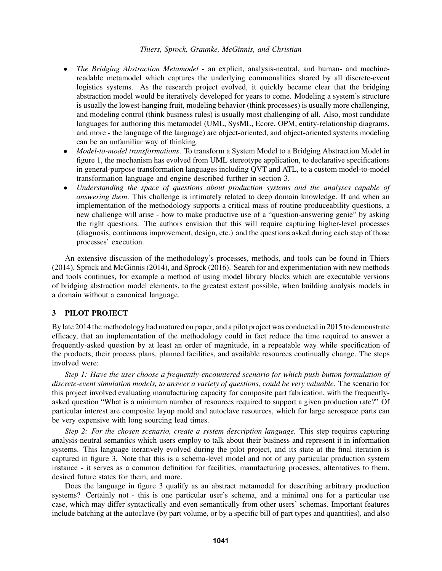- *The Bridging Abstraction Metamodel* an explicit, analysis-neutral, and human- and machinereadable metamodel which captures the underlying commonalities shared by all discrete-event logistics systems. As the research project evolved, it quickly became clear that the bridging abstraction model would be iteratively developed for years to come. Modeling a system's structure is usually the lowest-hanging fruit, modeling behavior (think processes) is usually more challenging, and modeling control (think business rules) is usually most challenging of all. Also, most candidate languages for authoring this metamodel (UML, SysML, Ecore, OPM, entity-relationship diagrams, and more - the language of the language) are object-oriented, and object-oriented systems modeling can be an unfamiliar way of thinking.
- *Model-to-model transformations*. To transform a System Model to a Bridging Abstraction Model in figure 1, the mechanism has evolved from UML stereotype application, to declarative specifications in general-purpose transformation languages including QVT and ATL, to a custom model-to-model transformation language and engine described further in section 3.
- *Understanding the space of questions about production systems and the analyses capable of answering them*. This challenge is intimately related to deep domain knowledge. If and when an implementation of the methodology supports a critical mass of routine produceability questions, a new challenge will arise - how to make productive use of a "question-answering genie" by asking the right questions. The authors envision that this will require capturing higher-level processes (diagnosis, continuous improvement, design, etc.) and the questions asked during each step of those processes' execution.

An extensive discussion of the methodology's processes, methods, and tools can be found in Thiers (2014), Sprock and McGinnis (2014), and Sprock (2016). Search for and experimentation with new methods and tools continues, for example a method of using model library blocks which are executable versions of bridging abstraction model elements, to the greatest extent possible, when building analysis models in a domain without a canonical language.

# 3 PILOT PROJECT

By late 2014 the methodology had matured on paper, and a pilot project was conducted in 2015 to demonstrate efficacy, that an implementation of the methodology could in fact reduce the time required to answer a frequently-asked question by at least an order of magnitude, in a repeatable way while specification of the products, their process plans, planned facilities, and available resources continually change. The steps involved were:

*Step 1: Have the user choose a frequently-encountered scenario for which push-button formulation of discrete-event simulation models, to answer a variety of questions, could be very valuable.* The scenario for this project involved evaluating manufacturing capacity for composite part fabrication, with the frequentlyasked question "What is a minimum number of resources required to support a given production rate?" Of particular interest are composite layup mold and autoclave resources, which for large aerospace parts can be very expensive with long sourcing lead times.

*Step 2: For the chosen scenario, create a system description language.* This step requires capturing analysis-neutral semantics which users employ to talk about their business and represent it in information systems. This language iteratively evolved during the pilot project, and its state at the final iteration is captured in figure 3. Note that this is a schema-level model and not of any particular production system instance - it serves as a common definition for facilities, manufacturing processes, alternatives to them, desired future states for them, and more.

Does the language in figure 3 qualify as an abstract metamodel for describing arbitrary production systems? Certainly not - this is one particular user's schema, and a minimal one for a particular use case, which may differ syntactically and even semantically from other users' schemas. Important features include batching at the autoclave (by part volume, or by a specific bill of part types and quantities), and also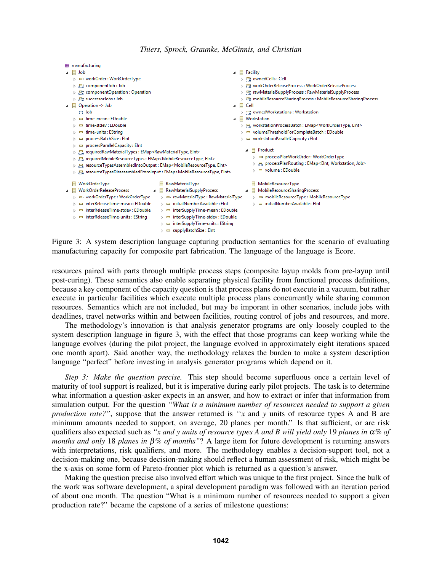|    |                  | <b>曲</b> manufacturing                                                                                                                                                                                                                                                                                                                            |  |  |  |  |  |  |  |  |  |  |
|----|------------------|---------------------------------------------------------------------------------------------------------------------------------------------------------------------------------------------------------------------------------------------------------------------------------------------------------------------------------------------------|--|--|--|--|--|--|--|--|--|--|
| ◢▤ |                  | Job<br>$\Box$ Facility<br>◢                                                                                                                                                                                                                                                                                                                       |  |  |  |  |  |  |  |  |  |  |
|    |                  | → workOrder: WorkOrderType<br>▷ 段 ownedCells : Cell                                                                                                                                                                                                                                                                                               |  |  |  |  |  |  |  |  |  |  |
|    | $\triangleright$ | 最 componentJob : Job<br>▷ Rt workOrderReleaseProcess : WorkOrderReleaseProcess                                                                                                                                                                                                                                                                    |  |  |  |  |  |  |  |  |  |  |
|    |                  | p Rt rawMaterialSupplyProcess : RawMaterialSupplyProcess<br>$\triangleright$ $\frac{1}{25}$ component Operation : Operation                                                                                                                                                                                                                       |  |  |  |  |  |  |  |  |  |  |
|    |                  | ▷ 晟 successorJobs : Job<br>▷ 最 mobileResourceSharingProcess : MobileResourceSharingProcess                                                                                                                                                                                                                                                        |  |  |  |  |  |  |  |  |  |  |
|    |                  | $\boxminus$ Cell<br>$\Box$ Operation -> Job<br>$\boldsymbol{d}$                                                                                                                                                                                                                                                                                   |  |  |  |  |  |  |  |  |  |  |
|    |                  | (A) Job<br>▷ 段 ownedWorkstations : Workstation                                                                                                                                                                                                                                                                                                    |  |  |  |  |  |  |  |  |  |  |
|    |                  | $\equiv$ time-mean : EDouble<br><b>日</b> Workstation<br>◢                                                                                                                                                                                                                                                                                         |  |  |  |  |  |  |  |  |  |  |
|    |                  | □ time-stdev : EDouble<br>▷ R. workstationProcessBatch : EMap <workordertype, eint=""></workordertype,>                                                                                                                                                                                                                                           |  |  |  |  |  |  |  |  |  |  |
|    |                  | □ volumeThresholdForCompleteBatch : EDouble<br>$\equiv$ time-units: EString                                                                                                                                                                                                                                                                       |  |  |  |  |  |  |  |  |  |  |
|    |                  | processBatchSize: EInt<br>$\triangleright$ $\blacksquare$ workstationParallelCapacity : Elnt                                                                                                                                                                                                                                                      |  |  |  |  |  |  |  |  |  |  |
|    |                  | processParallelCapacity: Elnt                                                                                                                                                                                                                                                                                                                     |  |  |  |  |  |  |  |  |  |  |
|    |                  | Product<br>◢<br>▷ R. requiredRawMaterialTypes : EMap <rawmaterialtype, eint=""></rawmaterialtype,>                                                                                                                                                                                                                                                |  |  |  |  |  |  |  |  |  |  |
|    |                  | D = processPlanWorkOrder: WorkOrderType<br>▷ 忌 requiredMobileResourceTypes : EMap <mobileresourcetype, eint=""></mobileresourcetype,>                                                                                                                                                                                                             |  |  |  |  |  |  |  |  |  |  |
|    |                  | p R. processPlanRouting : EMap <elnt, job="" workstation,=""><br/>p R<sub>a</sub> resourceTypesAssembledIntoOutput : EMap<mobileresourcetype, eint=""></mobileresourcetype,></elnt,>                                                                                                                                                              |  |  |  |  |  |  |  |  |  |  |
|    |                  | $\triangleright$ $\equiv$ volume: EDouble<br>p R resourceTypesDisassembledFromInput : EMap <mobileresourcetype, eint=""></mobileresourcetype,>                                                                                                                                                                                                    |  |  |  |  |  |  |  |  |  |  |
|    |                  |                                                                                                                                                                                                                                                                                                                                                   |  |  |  |  |  |  |  |  |  |  |
|    | E                | RawMaterialType<br>MobileResourceType<br>WorkOrderType<br>Ħ<br>Ħ<br>WorkOrderReleaseProcess                                                                                                                                                                                                                                                       |  |  |  |  |  |  |  |  |  |  |
| ◢▤ |                  | △ <b>E</b> MobileResourceSharingProcess<br>▲ <b>E</b> RawMaterialSupplyProcess                                                                                                                                                                                                                                                                    |  |  |  |  |  |  |  |  |  |  |
|    |                  | → workOrderType: WorkOrderType<br>$\triangleright$ $\Rightarrow$ rawMaterialType : RawMaterialType<br>$\triangleright$ $\Rightarrow$ mobileResourceType : MobileResourceType<br>interReleaseTime-mean : EDouble<br>$\triangleright$ $\blacksquare$ initialNumberAvailable : Elnt<br>$\triangleright$ $\blacksquare$ initialNumberAvailable : Elnt |  |  |  |  |  |  |  |  |  |  |
|    | ▷                | $\Box$<br>= interReleaseTime-stdev: EDouble                                                                                                                                                                                                                                                                                                       |  |  |  |  |  |  |  |  |  |  |
|    |                  | $\triangleright$ = interSupplyTime-mean : EDouble                                                                                                                                                                                                                                                                                                 |  |  |  |  |  |  |  |  |  |  |
|    | Þ                | interReleaseTime-units: EString<br>$\triangleright$ = interSupplyTime-stdev : EDouble<br>$\equiv$                                                                                                                                                                                                                                                 |  |  |  |  |  |  |  |  |  |  |
|    |                  | $\triangleright$ = interSupplyTime-units : EString                                                                                                                                                                                                                                                                                                |  |  |  |  |  |  |  |  |  |  |
|    |                  | $\triangleright$ $\blacksquare$ supplyBatchSize: Elnt                                                                                                                                                                                                                                                                                             |  |  |  |  |  |  |  |  |  |  |

Figure 3: A system description language capturing production semantics for the scenario of evaluating manufacturing capacity for composite part fabrication. The language of the language is Ecore.

resources paired with parts through multiple process steps (composite layup molds from pre-layup until post-curing). These semantics also enable separating physical facility from functional process definitions, because a key component of the capacity question is that process plans do not execute in a vacuum, but rather execute in particular facilities which execute multiple process plans concurrently while sharing common resources. Semantics which are not included, but may be imporant in other scenarios, include jobs with deadlines, travel networks within and between facilities, routing control of jobs and resources, and more.

The methodology's innovation is that analysis generator programs are only loosely coupled to the system description language in figure 3, with the effect that those programs can keep working while the language evolves (during the pilot project, the language evolved in approximately eight iterations spaced one month apart). Said another way, the methodology relaxes the burden to make a system description language "perfect" before investing in analysis generator programs which depend on it.

*Step 3: Make the question precise.* This step should become superfluous once a certain level of maturity of tool support is realized, but it is imperative during early pilot projects. The task is to determine what information a question-asker expects in an answer, and how to extract or infer that information from simulation output. For the question *"What is a minimum number of resources needed to support a given production rate?"*, suppose that the answer returned is *'*'*x* and *y* units of resource types A and B are minimum amounts needed to support, on average, 20 planes per month." Is that sufficient, or are risk qualifiers also expected such as "x and y units of resource types A and B will yield only 19 planes in  $\alpha$ % of *months and only* 18 *planes in* β*% of months"*? A large item for future development is returning answers with interpretations, risk qualifiers, and more. The methodology enables a decision-support tool, not a decision-making one, because decision-making should reflect a human assessment of risk, which might be the x-axis on some form of Pareto-frontier plot which is returned as a question's answer.

Making the question precise also involved effort which was unique to the first project. Since the bulk of the work was software development, a spiral development paradigm was followed with an iteration period of about one month. The question "What is a minimum number of resources needed to support a given production rate?" became the capstone of a series of milestone questions: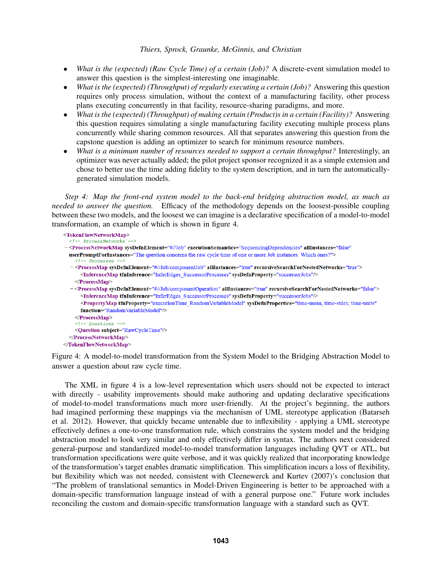- *What is the (expected) (Raw Cycle Time) of a certain (Job)?* A discrete-event simulation model to answer this question is the simplest-interesting one imaginable.
- *What is the (expected) (Throughput) of regularly executing a certain (Job)?* Answering this question requires only process simulation, without the context of a manufacturing facility, other process plans executing concurrently in that facility, resource-sharing paradigms, and more.
- *What is the (expected) (Throughput) of making certain (Product)s in a certain (Facility)?* Answering this question requires simulating a single manufacturing facility executing multiple process plans concurrently while sharing common resources. All that separates answering this question from the capstone question is adding an optimizer to search for minimum resource numbers.
- *What is a minimum number of resources needed to support a certain throughput?* Interestingly, an optimizer was never actually added; the pilot project sponsor recognized it as a simple extension and chose to better use the time adding fidelity to the system description, and in turn the automaticallygenerated simulation models.

*Step 4: Map the front-end system model to the back-end bridging abstraction model, as much as needed to answer the question.* Efficacy of the methodology depends on the loosest-possible coupling between these two models, and the loosest we can imagine is a declarative specification of a model-to-model transformation, an example of which is shown in figure 4.

```
<TokenFlowNetworkMap>
  <!-- ProcessNetworks -->
- <ProcessNetworkMap sysDefnElement="#//Job" executionSemantics="SequencingDependencies" allInstances="false"
  userPromptForInstances="The question concerns the raw cycle time of one or more Job instances. Which ones?">
    \langle!-- Processes -->
  -<ProcessMap sysDefnElement="#//Job/componentJob" allInstances="true" recursiveSearchForNestedNetworks="true">
      <InferenceMap tfnInference="InferEdges SuccessorProcesses" sysDefnProperty="successorJobs"/>
    </ProcessMan>
  -<ProcessMap sysDefnElement="#//Job/componentOperation" allInstances="true" recursiveSearchForNestedNetworks="false">
      <InferenceMap tfnInference="InferEdges SuccessorProcesses" sysDefnProperty="successorJobs"/>
      <PropertyMap tfnProperty="executionTime_RandomVariableModel" sysDefnProperties="time-mean, time-stdev, time-units"
      function="RandomVariableModel"/>
    </ProcessMap>
    <!-- Questions -->
    <Question subject="RawCycleTime"/>
  </ProcessNetworkMan>
</TokenFlowNetworkMap>
```
Figure 4: A model-to-model transformation from the System Model to the Bridging Abstraction Model to answer a question about raw cycle time.

The XML in figure 4 is a low-level representation which users should not be expected to interact with directly - usability improvements should make authoring and updating declarative specifications of model-to-model transformations much more user-friendly. At the project's beginning, the authors had imagined performing these mappings via the mechanism of UML stereotype application (Batarseh et al. 2012). However, that quickly became untenable due to inflexibility - applying a UML stereotype effectively defines a one-to-one transformation rule, which constrains the system model and the bridging abstraction model to look very similar and only effectively differ in syntax. The authors next considered general-purpose and standardized model-to-model transformation languages including QVT or ATL, but transformation specifications were quite verbose, and it was quickly realized that incorporating knowledge of the transformation's target enables dramatic simplification. This simplification incurs a loss of flexibility, but flexibility which was not needed, consistent with Cleenewerck and Kurtev (2007)'s conclusion that "The problem of translational semantics in Model-Driven Engineering is better to be approached with a domain-specific transformation language instead of with a general purpose one." Future work includes reconciling the custom and domain-specific transformation language with a standard such as QVT.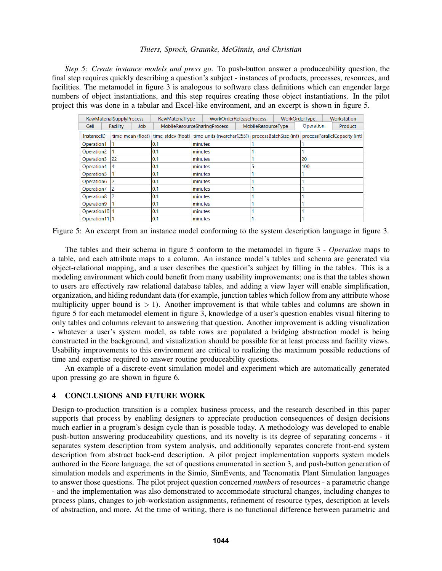*Step 5: Create instance models and press go.* To push-button answer a produceability question, the final step requires quickly describing a question's subject - instances of products, processes, resources, and facilities. The metamodel in figure 3 is analogous to software class definitions which can engender large numbers of object instantiations, and this step requires creating those object instantiations. In the pilot project this was done in a tabular and Excel-like environment, and an excerpt is shown in figure 5.

|                        | RawMaterialSupplyProcess |      | RawMaterialType |                              | <b>WorkOrderReleaseProcess</b> |  |                           | WorkOrderType |                                                                                                                      |  | <b>Workstation</b> |
|------------------------|--------------------------|------|-----------------|------------------------------|--------------------------------|--|---------------------------|---------------|----------------------------------------------------------------------------------------------------------------------|--|--------------------|
| Cell                   | Facility                 | Job. |                 | MobileResourceSharingProcess |                                |  | <b>MobileResourceTvpe</b> |               | Operation                                                                                                            |  | Product            |
| InstanceID             |                          |      |                 |                              |                                |  |                           |               | time-mean (float) time-stdev (float) time-units (nvarchar(255)) processBatchSize (int) processParallelCapacity (int) |  |                    |
| Operation1             |                          |      | 0.1             | minutes                      |                                |  |                           |               |                                                                                                                      |  |                    |
| Operation <sub>2</sub> |                          |      | 0.1             | minutes                      |                                |  |                           |               |                                                                                                                      |  |                    |
| Operation3             | 22                       |      | 0.1             | minutes                      |                                |  |                           | 20            |                                                                                                                      |  |                    |
| Operation4             | 4                        |      | 0.1             | minutes                      |                                |  |                           |               | 100                                                                                                                  |  |                    |
| Operation <sub>5</sub> |                          |      | 0.1             | minutes                      |                                |  |                           |               |                                                                                                                      |  |                    |
| Operation6             | 2                        |      | 0.1             | minutes                      |                                |  |                           |               |                                                                                                                      |  |                    |
| Operation7             | 2                        |      | 0.1             | minutes                      |                                |  |                           |               |                                                                                                                      |  |                    |
| Operation8             |                          |      | 0.1             | minutes                      |                                |  |                           |               |                                                                                                                      |  |                    |
| Operation9             |                          |      | 0.1             | minutes                      |                                |  |                           |               |                                                                                                                      |  |                    |
| Operation101           |                          |      | 0.1             | minutes                      |                                |  |                           |               |                                                                                                                      |  |                    |
| Operation111           |                          |      | 0.1             | minutes                      |                                |  |                           |               |                                                                                                                      |  |                    |

Figure 5: An excerpt from an instance model conforming to the system description language in figure 3.

The tables and their schema in figure 5 conform to the metamodel in figure 3 - *Operation* maps to a table, and each attribute maps to a column. An instance model's tables and schema are generated via object-relational mapping, and a user describes the question's subject by filling in the tables. This is a modeling environment which could benefit from many usability improvements; one is that the tables shown to users are effectively raw relational database tables, and adding a view layer will enable simplification, organization, and hiding redundant data (for example, junction tables which follow from any attribute whose multiplicity upper bound is  $> 1$ ). Another improvement is that while tables and columns are shown in figure 5 for each metamodel element in figure 3, knowledge of a user's question enables visual filtering to only tables and columns relevant to answering that question. Another improvement is adding visualization - whatever a user's system model, as table rows are populated a bridging abstraction model is being constructed in the background, and visualization should be possible for at least process and facility views. Usability improvements to this environment are critical to realizing the maximum possible reductions of time and expertise required to answer routine produceability questions.

An example of a discrete-event simulation model and experiment which are automatically generated upon pressing go are shown in figure 6.

#### 4 CONCLUSIONS AND FUTURE WORK

Design-to-production transition is a complex business process, and the research described in this paper supports that process by enabling designers to appreciate production consequences of design decisions much earlier in a program's design cycle than is possible today. A methodology was developed to enable push-button answering produceability questions, and its novelty is its degree of separating concerns - it separates system description from system analysis, and additionally separates concrete front-end system description from abstract back-end description. A pilot project implementation supports system models authored in the Ecore language, the set of questions enumerated in section 3, and push-button generation of simulation models and experiments in the Simio, SimEvents, and Tecnomatix Plant Simulation languages to answer those questions. The pilot project question concerned *numbers* of resources - a parametric change - and the implementation was also demonstrated to accommodate structural changes, including changes to process plans, changes to job-workstation assignments, refinement of resource types, description at levels of abstraction, and more. At the time of writing, there is no functional difference between parametric and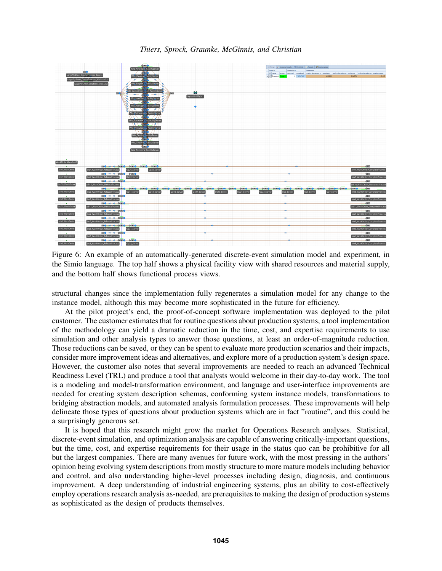

*Thiers, Sprock, Graunke, McGinnis, and Christian*

Figure 6: An example of an automatically-generated discrete-event simulation model and experiment, in the Simio language. The top half shows a physical facility view with shared resources and material supply, and the bottom half shows functional process views.

structural changes since the implementation fully regenerates a simulation model for any change to the instance model, although this may become more sophisticated in the future for efficiency.

At the pilot project's end, the proof-of-concept software implementation was deployed to the pilot customer. The customer estimates that for routine questions about production systems, a tool implementation of the methodology can yield a dramatic reduction in the time, cost, and expertise requirements to use simulation and other analysis types to answer those questions, at least an order-of-magnitude reduction. Those reductions can be saved, or they can be spent to evaluate more production scenarios and their impacts, consider more improvement ideas and alternatives, and explore more of a production system's design space. However, the customer also notes that several improvements are needed to reach an advanced Technical Readiness Level (TRL) and produce a tool that analysts would welcome in their day-to-day work. The tool is a modeling and model-transformation environment, and language and user-interface improvements are needed for creating system description schemas, conforming system instance models, transformations to bridging abstraction models, and automated analysis formulation processes. These improvements will help delineate those types of questions about production systems which are in fact "routine", and this could be a surprisingly generous set.

It is hoped that this research might grow the market for Operations Research analyses. Statistical, discrete-event simulation, and optimization analysis are capable of answering critically-important questions, but the time, cost, and expertise requirements for their usage in the status quo can be prohibitive for all but the largest companies. There are many avenues for future work, with the most pressing in the authors' opinion being evolving system descriptions from mostly structure to more mature models including behavior and control, and also understanding higher-level processes including design, diagnosis, and continuous improvement. A deep understanding of industrial engineering systems, plus an ability to cost-effectively employ operations research analysis as-needed, are prerequisites to making the design of production systems as sophisticated as the design of products themselves.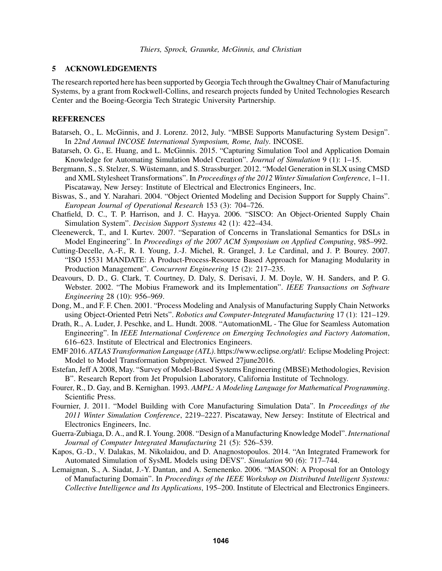### 5 ACKNOWLEDGEMENTS

The research reported here has been supported by Georgia Tech through the Gwaltney Chair of Manufacturing Systems, by a grant from Rockwell-Collins, and research projects funded by United Technologies Research Center and the Boeing-Georgia Tech Strategic University Partnership.

# **REFERENCES**

- Batarseh, O., L. McGinnis, and J. Lorenz. 2012, July. "MBSE Supports Manufacturing System Design". In *22nd Annual INCOSE International Symposium, Rome, Italy*. INCOSE.
- Batarseh, O. G., E. Huang, and L. McGinnis. 2015. "Capturing Simulation Tool and Application Domain Knowledge for Automating Simulation Model Creation". *Journal of Simulation* 9 (1): 1–15.
- Bergmann, S., S. Stelzer, S. Wüstemann, and S. Strassburger. 2012. "Model Generation in SLX using CMSD and XML Stylesheet Transformations". In *Proceedings of the 2012 Winter Simulation Conference*, 1–11. Piscataway, New Jersey: Institute of Electrical and Electronics Engineers, Inc.
- Biswas, S., and Y. Narahari. 2004. "Object Oriented Modeling and Decision Support for Supply Chains". *European Journal of Operational Research* 153 (3): 704–726.
- Chatfield, D. C., T. P. Harrison, and J. C. Hayya. 2006. "SISCO: An Object-Oriented Supply Chain Simulation System". *Decision Support Systems* 42 (1): 422–434.
- Cleenewerck, T., and I. Kurtev. 2007. "Separation of Concerns in Translational Semantics for DSLs in Model Engineering". In *Proceedings of the 2007 ACM Symposium on Applied Computing*, 985–992.
- Cutting-Decelle, A.-F., R. I. Young, J.-J. Michel, R. Grangel, J. Le Cardinal, and J. P. Bourey. 2007. "ISO 15531 MANDATE: A Product-Process-Resource Based Approach for Managing Modularity in Production Management". *Concurrent Engineering* 15 (2): 217–235.
- Deavours, D. D., G. Clark, T. Courtney, D. Daly, S. Derisavi, J. M. Doyle, W. H. Sanders, and P. G. Webster. 2002. "The Mobius Framework and its Implementation". *IEEE Transactions on Software Engineering* 28 (10): 956–969.
- Dong, M., and F. F. Chen. 2001. "Process Modeling and Analysis of Manufacturing Supply Chain Networks using Object-Oriented Petri Nets". *Robotics and Computer-Integrated Manufacturing* 17 (1): 121–129.
- Drath, R., A. Luder, J. Peschke, and L. Hundt. 2008. "AutomationML The Glue for Seamless Automation Engineering". In *IEEE International Conference on Emerging Technologies and Factory Automation*, 616–623. Institute of Electrical and Electronics Engineers.
- EMF 2016. *ATLAS Transformation Language (ATL)*. https://www.eclipse.org/atl/: Eclipse Modeling Project: Model to Model Transformation Subproject. Viewed 27june2016.
- Estefan, Jeff A 2008, May. "Survey of Model-Based Systems Engineering (MBSE) Methodologies, Revision B". Research Report from Jet Propulsion Laboratory, California Institute of Technology.
- Fourer, R., D. Gay, and B. Kernighan. 1993. *AMPL: A Modeling Language for Mathematical Programming*. Scientific Press.
- Fournier, J. 2011. "Model Building with Core Manufacturing Simulation Data". In *Proceedings of the 2011 Winter Simulation Conference*, 2219–2227. Piscataway, New Jersey: Institute of Electrical and Electronics Engineers, Inc.
- Guerra-Zubiaga, D. A., and R. I. Young. 2008. "Design of a Manufacturing Knowledge Model".*International Journal of Computer Integrated Manufacturing* 21 (5): 526–539.
- Kapos, G.-D., V. Dalakas, M. Nikolaidou, and D. Anagnostopoulos. 2014. "An Integrated Framework for Automated Simulation of SysML Models using DEVS". *Simulation* 90 (6): 717–744.
- Lemaignan, S., A. Siadat, J.-Y. Dantan, and A. Semenenko. 2006. "MASON: A Proposal for an Ontology of Manufacturing Domain". In *Proceedings of the IEEE Workshop on Distributed Intelligent Systems: Collective Intelligence and Its Applications*, 195–200. Institute of Electrical and Electronics Engineers.